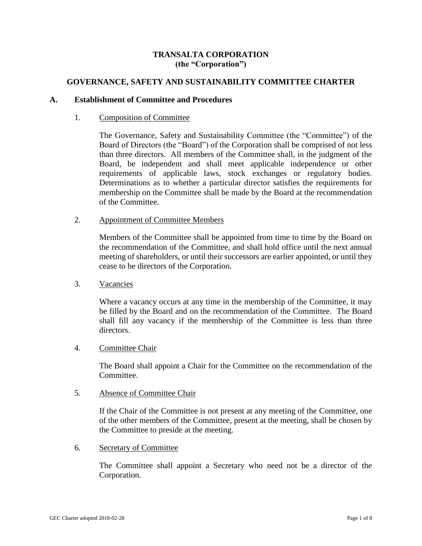# **TRANSALTA CORPORATION (the "Corporation")**

# **GOVERNANCE, SAFETY AND SUSTAINABILITY COMMITTEE CHARTER**

## **A. Establishment of Committee and Procedures**

## 1. Composition of Committee

The Governance, Safety and Sustainability Committee (the "Committee") of the Board of Directors (the "Board") of the Corporation shall be comprised of not less than three directors. All members of the Committee shall, in the judgment of the Board, be independent and shall meet applicable independence or other requirements of applicable laws, stock exchanges or regulatory bodies. Determinations as to whether a particular director satisfies the requirements for membership on the Committee shall be made by the Board at the recommendation of the Committee.

## 2. Appointment of Committee Members

Members of the Committee shall be appointed from time to time by the Board on the recommendation of the Committee, and shall hold office until the next annual meeting of shareholders, or until their successors are earlier appointed, or until they cease to be directors of the Corporation.

3. Vacancies

Where a vacancy occurs at any time in the membership of the Committee, it may be filled by the Board and on the recommendation of the Committee. The Board shall fill any vacancy if the membership of the Committee is less than three directors.

# 4. Committee Chair

The Board shall appoint a Chair for the Committee on the recommendation of the Committee.

# 5. Absence of Committee Chair

If the Chair of the Committee is not present at any meeting of the Committee, one of the other members of the Committee, present at the meeting, shall be chosen by the Committee to preside at the meeting.

6. Secretary of Committee

The Committee shall appoint a Secretary who need not be a director of the Corporation.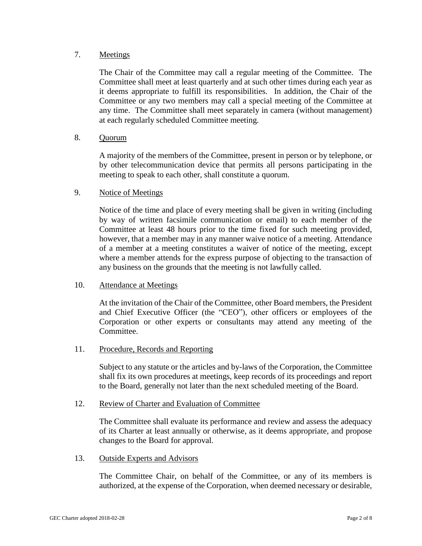# 7. Meetings

The Chair of the Committee may call a regular meeting of the Committee. The Committee shall meet at least quarterly and at such other times during each year as it deems appropriate to fulfill its responsibilities. In addition, the Chair of the Committee or any two members may call a special meeting of the Committee at any time. The Committee shall meet separately in camera (without management) at each regularly scheduled Committee meeting.

# 8. Quorum

A majority of the members of the Committee, present in person or by telephone, or by other telecommunication device that permits all persons participating in the meeting to speak to each other, shall constitute a quorum.

## 9. Notice of Meetings

Notice of the time and place of every meeting shall be given in writing (including by way of written facsimile communication or email) to each member of the Committee at least 48 hours prior to the time fixed for such meeting provided, however, that a member may in any manner waive notice of a meeting. Attendance of a member at a meeting constitutes a waiver of notice of the meeting, except where a member attends for the express purpose of objecting to the transaction of any business on the grounds that the meeting is not lawfully called.

#### 10. Attendance at Meetings

At the invitation of the Chair of the Committee, other Board members, the President and Chief Executive Officer (the "CEO"), other officers or employees of the Corporation or other experts or consultants may attend any meeting of the Committee.

#### 11. Procedure, Records and Reporting

Subject to any statute or the articles and by-laws of the Corporation, the Committee shall fix its own procedures at meetings, keep records of its proceedings and report to the Board, generally not later than the next scheduled meeting of the Board.

## 12. Review of Charter and Evaluation of Committee

The Committee shall evaluate its performance and review and assess the adequacy of its Charter at least annually or otherwise, as it deems appropriate, and propose changes to the Board for approval.

#### 13. Outside Experts and Advisors

The Committee Chair, on behalf of the Committee, or any of its members is authorized, at the expense of the Corporation, when deemed necessary or desirable,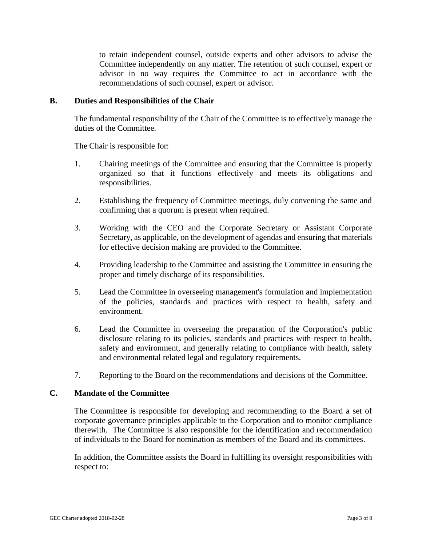to retain independent counsel, outside experts and other advisors to advise the Committee independently on any matter. The retention of such counsel, expert or advisor in no way requires the Committee to act in accordance with the recommendations of such counsel, expert or advisor.

### **B. Duties and Responsibilities of the Chair**

The fundamental responsibility of the Chair of the Committee is to effectively manage the duties of the Committee.

The Chair is responsible for:

- 1. Chairing meetings of the Committee and ensuring that the Committee is properly organized so that it functions effectively and meets its obligations and responsibilities.
- 2. Establishing the frequency of Committee meetings, duly convening the same and confirming that a quorum is present when required.
- 3. Working with the CEO and the Corporate Secretary or Assistant Corporate Secretary, as applicable, on the development of agendas and ensuring that materials for effective decision making are provided to the Committee.
- 4. Providing leadership to the Committee and assisting the Committee in ensuring the proper and timely discharge of its responsibilities.
- 5. Lead the Committee in overseeing management's formulation and implementation of the policies, standards and practices with respect to health, safety and environment.
- 6. Lead the Committee in overseeing the preparation of the Corporation's public disclosure relating to its policies, standards and practices with respect to health, safety and environment, and generally relating to compliance with health, safety and environmental related legal and regulatory requirements.
- 7. Reporting to the Board on the recommendations and decisions of the Committee.

# **C. Mandate of the Committee**

The Committee is responsible for developing and recommending to the Board a set of corporate governance principles applicable to the Corporation and to monitor compliance therewith. The Committee is also responsible for the identification and recommendation of individuals to the Board for nomination as members of the Board and its committees.

In addition, the Committee assists the Board in fulfilling its oversight responsibilities with respect to: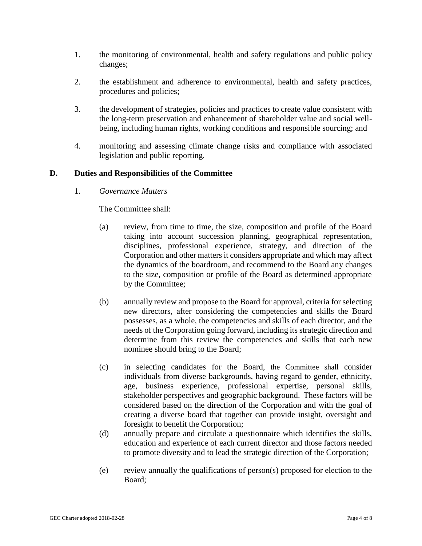- 1. the monitoring of environmental, health and safety regulations and public policy changes;
- 2. the establishment and adherence to environmental, health and safety practices, procedures and policies;
- 3. the development of strategies, policies and practices to create value consistent with the long-term preservation and enhancement of shareholder value and social wellbeing, including human rights, working conditions and responsible sourcing; and
- 4. monitoring and assessing climate change risks and compliance with associated legislation and public reporting.

# **D. Duties and Responsibilities of the Committee**

1. *Governance Matters*

The Committee shall:

- (a) review, from time to time, the size, composition and profile of the Board taking into account succession planning, geographical representation, disciplines, professional experience, strategy, and direction of the Corporation and other matters it considers appropriate and which may affect the dynamics of the boardroom, and recommend to the Board any changes to the size, composition or profile of the Board as determined appropriate by the Committee;
- (b) annually review and propose to the Board for approval, criteria for selecting new directors, after considering the competencies and skills the Board possesses, as a whole, the competencies and skills of each director, and the needs of the Corporation going forward, including its strategic direction and determine from this review the competencies and skills that each new nominee should bring to the Board;
- (c) in selecting candidates for the Board, the Committee shall consider individuals from diverse backgrounds, having regard to gender, ethnicity, age, business experience, professional expertise, personal skills, stakeholder perspectives and geographic background. These factors will be considered based on the direction of the Corporation and with the goal of creating a diverse board that together can provide insight, oversight and foresight to benefit the Corporation;
- (d) annually prepare and circulate a questionnaire which identifies the skills, education and experience of each current director and those factors needed to promote diversity and to lead the strategic direction of the Corporation;
- (e) review annually the qualifications of person(s) proposed for election to the Board;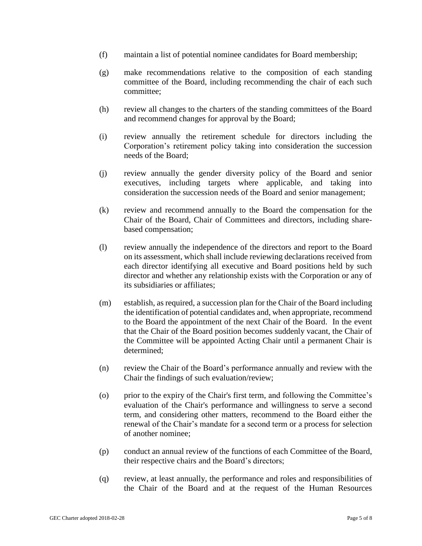- (f) maintain a list of potential nominee candidates for Board membership;
- (g) make recommendations relative to the composition of each standing committee of the Board, including recommending the chair of each such committee;
- (h) review all changes to the charters of the standing committees of the Board and recommend changes for approval by the Board;
- (i) review annually the retirement schedule for directors including the Corporation's retirement policy taking into consideration the succession needs of the Board;
- (j) review annually the gender diversity policy of the Board and senior executives, including targets where applicable, and taking into consideration the succession needs of the Board and senior management;
- (k) review and recommend annually to the Board the compensation for the Chair of the Board, Chair of Committees and directors, including sharebased compensation;
- (l) review annually the independence of the directors and report to the Board on its assessment, which shall include reviewing declarations received from each director identifying all executive and Board positions held by such director and whether any relationship exists with the Corporation or any of its subsidiaries or affiliates;
- (m) establish, as required, a succession plan for the Chair of the Board including the identification of potential candidates and, when appropriate, recommend to the Board the appointment of the next Chair of the Board. In the event that the Chair of the Board position becomes suddenly vacant, the Chair of the Committee will be appointed Acting Chair until a permanent Chair is determined;
- (n) review the Chair of the Board's performance annually and review with the Chair the findings of such evaluation/review;
- (o) prior to the expiry of the Chair's first term, and following the Committee's evaluation of the Chair's performance and willingness to serve a second term, and considering other matters, recommend to the Board either the renewal of the Chair's mandate for a second term or a process for selection of another nominee;
- (p) conduct an annual review of the functions of each Committee of the Board, their respective chairs and the Board's directors;
- (q) review, at least annually, the performance and roles and responsibilities of the Chair of the Board and at the request of the Human Resources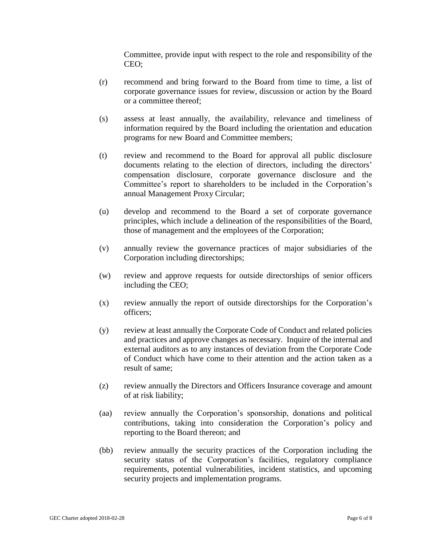Committee, provide input with respect to the role and responsibility of the CEO;

- (r) recommend and bring forward to the Board from time to time, a list of corporate governance issues for review, discussion or action by the Board or a committee thereof;
- (s) assess at least annually, the availability, relevance and timeliness of information required by the Board including the orientation and education programs for new Board and Committee members;
- (t) review and recommend to the Board for approval all public disclosure documents relating to the election of directors, including the directors' compensation disclosure, corporate governance disclosure and the Committee's report to shareholders to be included in the Corporation's annual Management Proxy Circular;
- (u) develop and recommend to the Board a set of corporate governance principles, which include a delineation of the responsibilities of the Board, those of management and the employees of the Corporation;
- (v) annually review the governance practices of major subsidiaries of the Corporation including directorships;
- (w) review and approve requests for outside directorships of senior officers including the CEO;
- (x) review annually the report of outside directorships for the Corporation's officers;
- (y) review at least annually the Corporate Code of Conduct and related policies and practices and approve changes as necessary. Inquire of the internal and external auditors as to any instances of deviation from the Corporate Code of Conduct which have come to their attention and the action taken as a result of same;
- (z) review annually the Directors and Officers Insurance coverage and amount of at risk liability;
- (aa) review annually the Corporation's sponsorship, donations and political contributions, taking into consideration the Corporation's policy and reporting to the Board thereon; and
- (bb) review annually the security practices of the Corporation including the security status of the Corporation's facilities, regulatory compliance requirements, potential vulnerabilities, incident statistics, and upcoming security projects and implementation programs.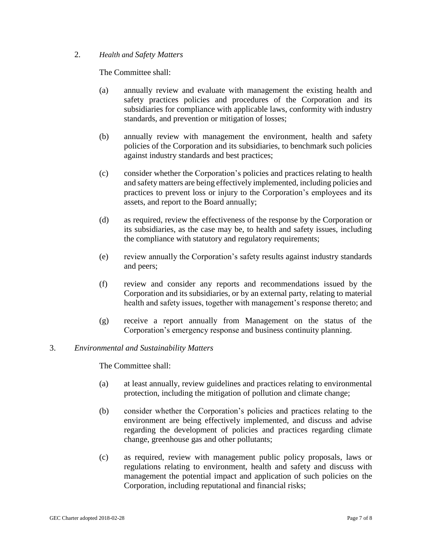## 2. *Health and Safety Matters*

The Committee shall:

- (a) annually review and evaluate with management the existing health and safety practices policies and procedures of the Corporation and its subsidiaries for compliance with applicable laws, conformity with industry standards, and prevention or mitigation of losses;
- (b) annually review with management the environment, health and safety policies of the Corporation and its subsidiaries, to benchmark such policies against industry standards and best practices;
- (c) consider whether the Corporation's policies and practices relating to health and safety matters are being effectively implemented, including policies and practices to prevent loss or injury to the Corporation's employees and its assets, and report to the Board annually;
- (d) as required, review the effectiveness of the response by the Corporation or its subsidiaries, as the case may be, to health and safety issues, including the compliance with statutory and regulatory requirements;
- (e) review annually the Corporation's safety results against industry standards and peers;
- (f) review and consider any reports and recommendations issued by the Corporation and its subsidiaries, or by an external party, relating to material health and safety issues, together with management's response thereto; and
- (g) receive a report annually from Management on the status of the Corporation's emergency response and business continuity planning.

# 3. *Environmental and Sustainability Matters*

The Committee shall:

- (a) at least annually, review guidelines and practices relating to environmental protection, including the mitigation of pollution and climate change;
- (b) consider whether the Corporation's policies and practices relating to the environment are being effectively implemented, and discuss and advise regarding the development of policies and practices regarding climate change, greenhouse gas and other pollutants;
- (c) as required, review with management public policy proposals, laws or regulations relating to environment, health and safety and discuss with management the potential impact and application of such policies on the Corporation, including reputational and financial risks;